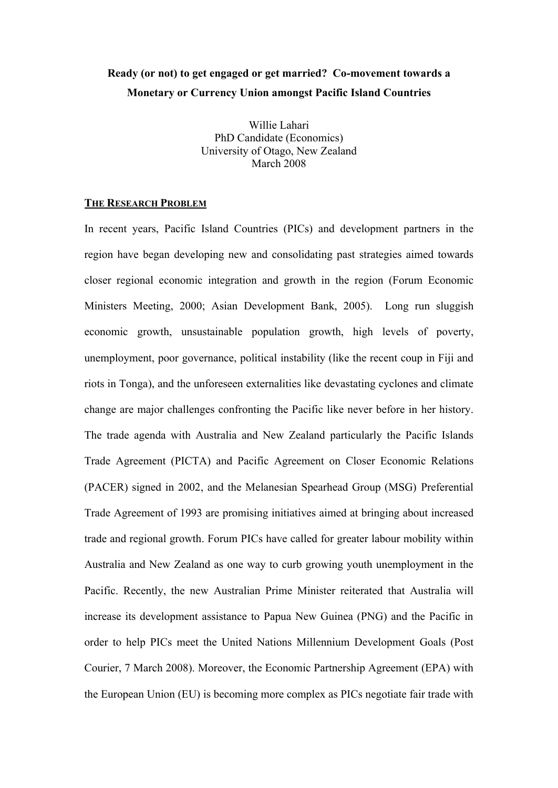# **Ready (or not) to get engaged or get married? Co-movement towards a Monetary or Currency Union amongst Pacific Island Countries**

Willie Lahari PhD Candidate (Economics) University of Otago, New Zealand March 2008

#### **THE RESEARCH PROBLEM**

In recent years, Pacific Island Countries (PICs) and development partners in the region have began developing new and consolidating past strategies aimed towards closer regional economic integration and growth in the region (Forum Economic Ministers Meeting, 2000; Asian Development Bank, 2005). Long run sluggish economic growth, unsustainable population growth, high levels of poverty, unemployment, poor governance, political instability (like the recent coup in Fiji and riots in Tonga), and the unforeseen externalities like devastating cyclones and climate change are major challenges confronting the Pacific like never before in her history. The trade agenda with Australia and New Zealand particularly the Pacific Islands Trade Agreement (PICTA) and Pacific Agreement on Closer Economic Relations (PACER) signed in 2002, and the Melanesian Spearhead Group (MSG) Preferential Trade Agreement of 1993 are promising initiatives aimed at bringing about increased trade and regional growth. Forum PICs have called for greater labour mobility within Australia and New Zealand as one way to curb growing youth unemployment in the Pacific. Recently, the new Australian Prime Minister reiterated that Australia will increase its development assistance to Papua New Guinea (PNG) and the Pacific in order to help PICs meet the United Nations Millennium Development Goals (Post Courier, 7 March 2008). Moreover, the Economic Partnership Agreement (EPA) with the European Union (EU) is becoming more complex as PICs negotiate fair trade with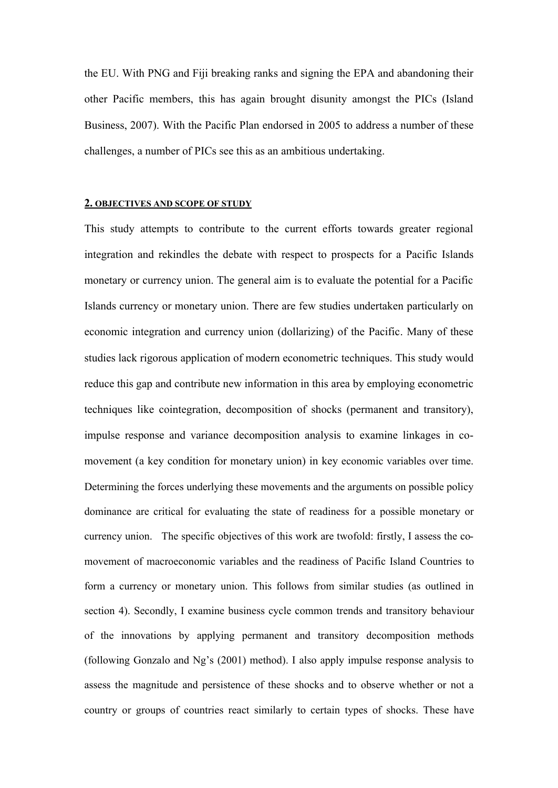the EU. With PNG and Fiji breaking ranks and signing the EPA and abandoning their other Pacific members, this has again brought disunity amongst the PICs (Island Business, 2007). With the Pacific Plan endorsed in 2005 to address a number of these challenges, a number of PICs see this as an ambitious undertaking.

#### **2. OBJECTIVES AND SCOPE OF STUDY**

This study attempts to contribute to the current efforts towards greater regional integration and rekindles the debate with respect to prospects for a Pacific Islands monetary or currency union. The general aim is to evaluate the potential for a Pacific Islands currency or monetary union. There are few studies undertaken particularly on economic integration and currency union (dollarizing) of the Pacific. Many of these studies lack rigorous application of modern econometric techniques. This study would reduce this gap and contribute new information in this area by employing econometric techniques like cointegration, decomposition of shocks (permanent and transitory), impulse response and variance decomposition analysis to examine linkages in comovement (a key condition for monetary union) in key economic variables over time. Determining the forces underlying these movements and the arguments on possible policy dominance are critical for evaluating the state of readiness for a possible monetary or currency union. The specific objectives of this work are twofold: firstly, I assess the comovement of macroeconomic variables and the readiness of Pacific Island Countries to form a currency or monetary union. This follows from similar studies (as outlined in section 4). Secondly, I examine business cycle common trends and transitory behaviour of the innovations by applying permanent and transitory decomposition methods (following Gonzalo and Ng's (2001) method). I also apply impulse response analysis to assess the magnitude and persistence of these shocks and to observe whether or not a country or groups of countries react similarly to certain types of shocks. These have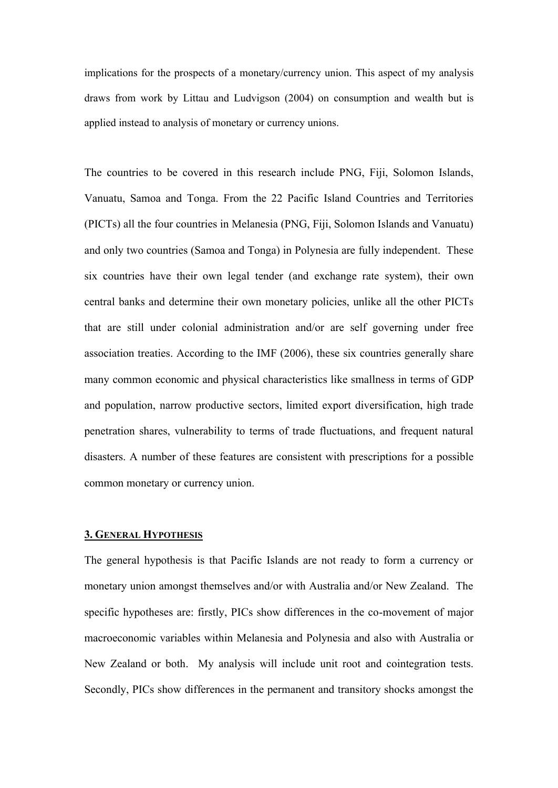implications for the prospects of a monetary/currency union. This aspect of my analysis draws from work by Littau and Ludvigson (2004) on consumption and wealth but is applied instead to analysis of monetary or currency unions.

The countries to be covered in this research include PNG, Fiji, Solomon Islands, Vanuatu, Samoa and Tonga. From the 22 Pacific Island Countries and Territories (PICTs) all the four countries in Melanesia (PNG, Fiji, Solomon Islands and Vanuatu) and only two countries (Samoa and Tonga) in Polynesia are fully independent. These six countries have their own legal tender (and exchange rate system), their own central banks and determine their own monetary policies, unlike all the other PICTs that are still under colonial administration and/or are self governing under free association treaties. According to the IMF (2006), these six countries generally share many common economic and physical characteristics like smallness in terms of GDP and population, narrow productive sectors, limited export diversification, high trade penetration shares, vulnerability to terms of trade fluctuations, and frequent natural disasters. A number of these features are consistent with prescriptions for a possible common monetary or currency union.

# **3. GENERAL HYPOTHESIS**

The general hypothesis is that Pacific Islands are not ready to form a currency or monetary union amongst themselves and/or with Australia and/or New Zealand. The specific hypotheses are: firstly, PICs show differences in the co-movement of major macroeconomic variables within Melanesia and Polynesia and also with Australia or New Zealand or both. My analysis will include unit root and cointegration tests. Secondly, PICs show differences in the permanent and transitory shocks amongst the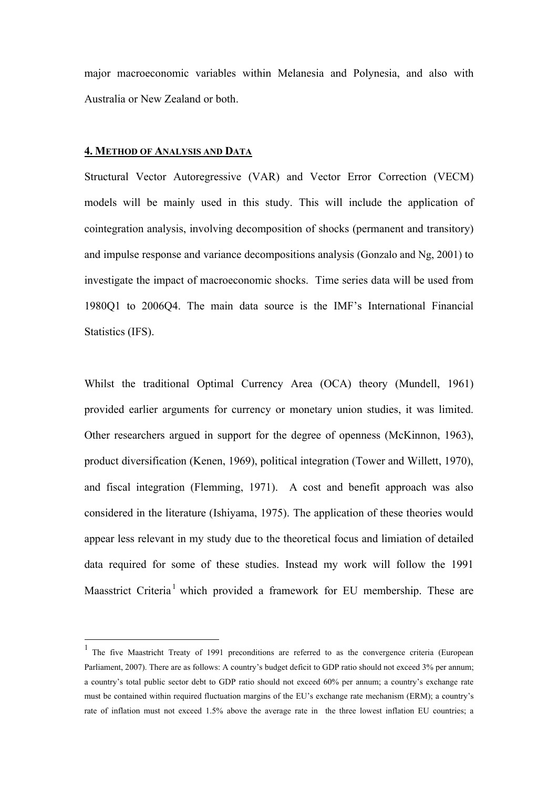major macroeconomic variables within Melanesia and Polynesia, and also with Australia or New Zealand or both.

#### **4. METHOD OF ANALYSIS AND DATA**

 $\overline{a}$ 

Structural Vector Autoregressive (VAR) and Vector Error Correction (VECM) models will be mainly used in this study. This will include the application of cointegration analysis, involving decomposition of shocks (permanent and transitory) and impulse response and variance decompositions analysis (Gonzalo and Ng, 2001) to investigate the impact of macroeconomic shocks. Time series data will be used from 1980Q1 to 2006Q4. The main data source is the IMF's International Financial Statistics (IFS).

Whilst the traditional Optimal Currency Area (OCA) theory (Mundell, 1961) provided earlier arguments for currency or monetary union studies, it was limited. Other researchers argued in support for the degree of openness (McKinnon, 1963), product diversification (Kenen, 1969), political integration (Tower and Willett, 1970), and fiscal integration (Flemming, 1971). A cost and benefit approach was also considered in the literature (Ishiyama, 1975). The application of these theories would appear less relevant in my study due to the theoretical focus and limiation of detailed data required for some of these studies. Instead my work will follow the 1991 Maasstrict Criteria<sup>1</sup> which provided a framework for EU membership. These are

<sup>1</sup> The five Maastricht Treaty of 1991 preconditions are referred to as the convergence criteria (European Parliament, 2007). There are as follows: A country's budget deficit to GDP ratio should not exceed 3% per annum; a country's total public sector debt to GDP ratio should not exceed 60% per annum; a country's exchange rate must be contained within required fluctuation margins of the EU's exchange rate mechanism (ERM); a country's rate of inflation must not exceed 1.5% above the average rate in the three lowest inflation EU countries; a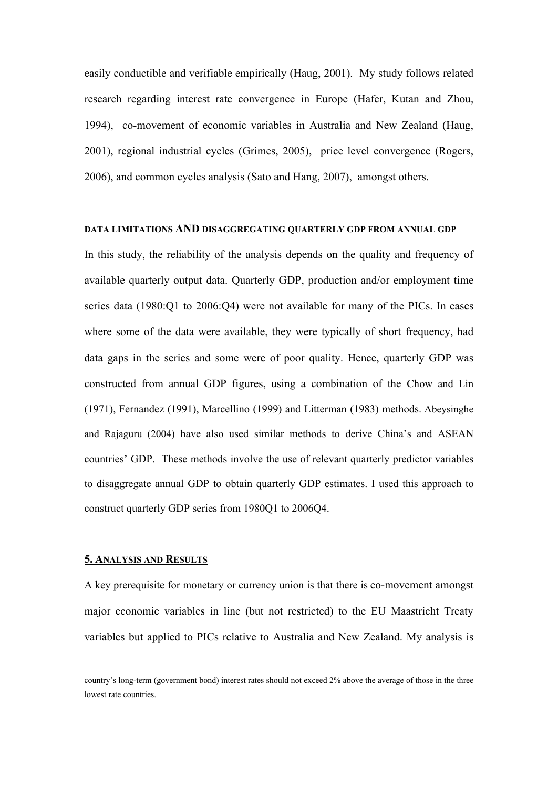easily conductible and verifiable empirically (Haug, 2001). My study follows related research regarding interest rate convergence in Europe (Hafer, Kutan and Zhou, 1994), co-movement of economic variables in Australia and New Zealand (Haug, 2001), regional industrial cycles (Grimes, 2005), price level convergence (Rogers, 2006), and common cycles analysis (Sato and Hang, 2007), amongst others.

#### **DATA LIMITATIONS AND DISAGGREGATING QUARTERLY GDP FROM ANNUAL GDP**

In this study, the reliability of the analysis depends on the quality and frequency of available quarterly output data. Quarterly GDP, production and/or employment time series data (1980:Q1 to 2006:Q4) were not available for many of the PICs. In cases where some of the data were available, they were typically of short frequency, had data gaps in the series and some were of poor quality. Hence, quarterly GDP was constructed from annual GDP figures, using a combination of the Chow and Lin (1971), Fernandez (1991), Marcellino (1999) and Litterman (1983) methods. Abeysinghe and Rajaguru (2004) have also used similar methods to derive China's and ASEAN countries' GDP. These methods involve the use of relevant quarterly predictor variables to disaggregate annual GDP to obtain quarterly GDP estimates. I used this approach to construct quarterly GDP series from 1980Q1 to 2006Q4.

#### **5. ANALYSIS AND RESULTS**

 $\overline{a}$ 

A key prerequisite for monetary or currency union is that there is co-movement amongst major economic variables in line (but not restricted) to the EU Maastricht Treaty variables but applied to PICs relative to Australia and New Zealand. My analysis is

country's long-term (government bond) interest rates should not exceed 2% above the average of those in the three lowest rate countries.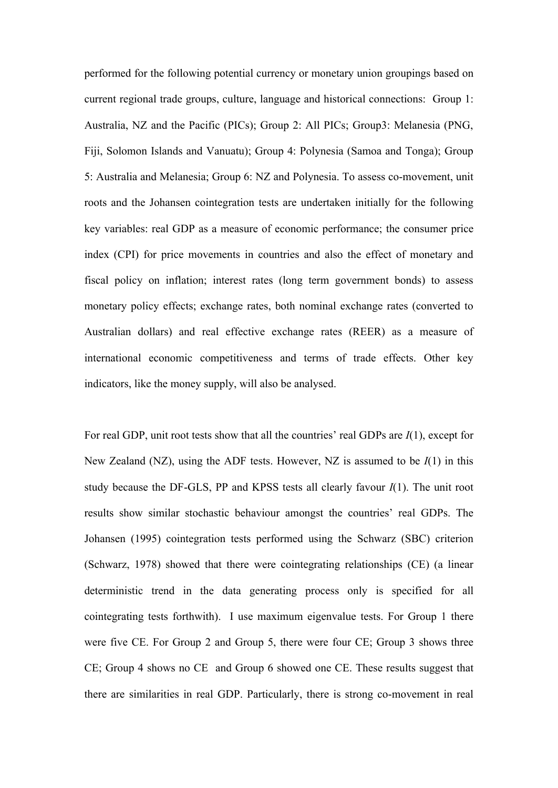performed for the following potential currency or monetary union groupings based on current regional trade groups, culture, language and historical connections: Group 1: Australia, NZ and the Pacific (PICs); Group 2: All PICs; Group3: Melanesia (PNG, Fiji, Solomon Islands and Vanuatu); Group 4: Polynesia (Samoa and Tonga); Group 5: Australia and Melanesia; Group 6: NZ and Polynesia. To assess co-movement, unit roots and the Johansen cointegration tests are undertaken initially for the following key variables: real GDP as a measure of economic performance; the consumer price index (CPI) for price movements in countries and also the effect of monetary and fiscal policy on inflation; interest rates (long term government bonds) to assess monetary policy effects; exchange rates, both nominal exchange rates (converted to Australian dollars) and real effective exchange rates (REER) as a measure of international economic competitiveness and terms of trade effects. Other key indicators, like the money supply, will also be analysed.

For real GDP, unit root tests show that all the countries' real GDPs are *I*(1), except for New Zealand (NZ), using the ADF tests. However, NZ is assumed to be *I*(1) in this study because the DF-GLS, PP and KPSS tests all clearly favour *I*(1). The unit root results show similar stochastic behaviour amongst the countries' real GDPs. The Johansen (1995) cointegration tests performed using the Schwarz (SBC) criterion (Schwarz, 1978) showed that there were cointegrating relationships (CE) (a linear deterministic trend in the data generating process only is specified for all cointegrating tests forthwith). I use maximum eigenvalue tests. For Group 1 there were five CE. For Group 2 and Group 5, there were four CE; Group 3 shows three CE; Group 4 shows no CE and Group 6 showed one CE. These results suggest that there are similarities in real GDP. Particularly, there is strong co-movement in real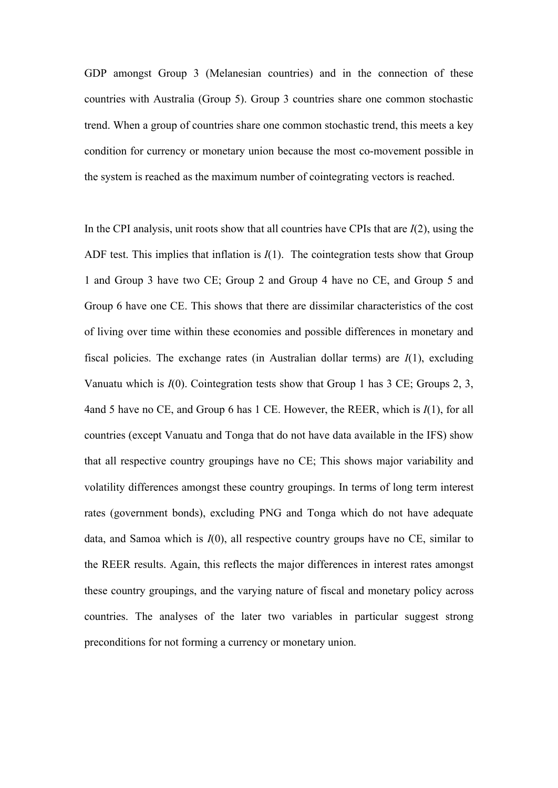GDP amongst Group 3 (Melanesian countries) and in the connection of these countries with Australia (Group 5). Group 3 countries share one common stochastic trend. When a group of countries share one common stochastic trend, this meets a key condition for currency or monetary union because the most co-movement possible in the system is reached as the maximum number of cointegrating vectors is reached.

In the CPI analysis, unit roots show that all countries have CPIs that are *I*(2), using the ADF test. This implies that inflation is  $I(1)$ . The cointegration tests show that Group 1 and Group 3 have two CE; Group 2 and Group 4 have no CE, and Group 5 and Group 6 have one CE. This shows that there are dissimilar characteristics of the cost of living over time within these economies and possible differences in monetary and fiscal policies. The exchange rates (in Australian dollar terms) are *I*(1), excluding Vanuatu which is *I*(0). Cointegration tests show that Group 1 has 3 CE; Groups 2, 3, 4and 5 have no CE, and Group 6 has 1 CE. However, the REER, which is *I*(1), for all countries (except Vanuatu and Tonga that do not have data available in the IFS) show that all respective country groupings have no CE; This shows major variability and volatility differences amongst these country groupings. In terms of long term interest rates (government bonds), excluding PNG and Tonga which do not have adequate data, and Samoa which is *I*(0), all respective country groups have no CE, similar to the REER results. Again, this reflects the major differences in interest rates amongst these country groupings, and the varying nature of fiscal and monetary policy across countries. The analyses of the later two variables in particular suggest strong preconditions for not forming a currency or monetary union.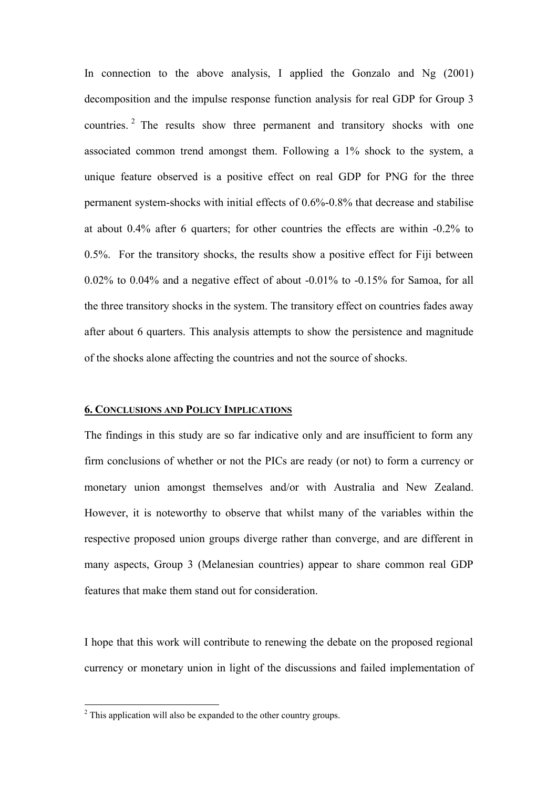In connection to the above analysis, I applied the Gonzalo and Ng (2001) decomposition and the impulse response function analysis for real GDP for Group 3 countries. 2 The results show three permanent and transitory shocks with one associated common trend amongst them. Following a 1% shock to the system, a unique feature observed is a positive effect on real GDP for PNG for the three permanent system-shocks with initial effects of 0.6%-0.8% that decrease and stabilise at about 0.4% after 6 quarters; for other countries the effects are within -0.2% to 0.5%. For the transitory shocks, the results show a positive effect for Fiji between 0.02% to 0.04% and a negative effect of about -0.01% to -0.15% for Samoa, for all the three transitory shocks in the system. The transitory effect on countries fades away after about 6 quarters. This analysis attempts to show the persistence and magnitude of the shocks alone affecting the countries and not the source of shocks.

### **6. CONCLUSIONS AND POLICY IMPLICATIONS**

The findings in this study are so far indicative only and are insufficient to form any firm conclusions of whether or not the PICs are ready (or not) to form a currency or monetary union amongst themselves and/or with Australia and New Zealand. However, it is noteworthy to observe that whilst many of the variables within the respective proposed union groups diverge rather than converge, and are different in many aspects, Group 3 (Melanesian countries) appear to share common real GDP features that make them stand out for consideration.

I hope that this work will contribute to renewing the debate on the proposed regional currency or monetary union in light of the discussions and failed implementation of

<sup>&</sup>lt;sup>2</sup> This application will also be expanded to the other country groups.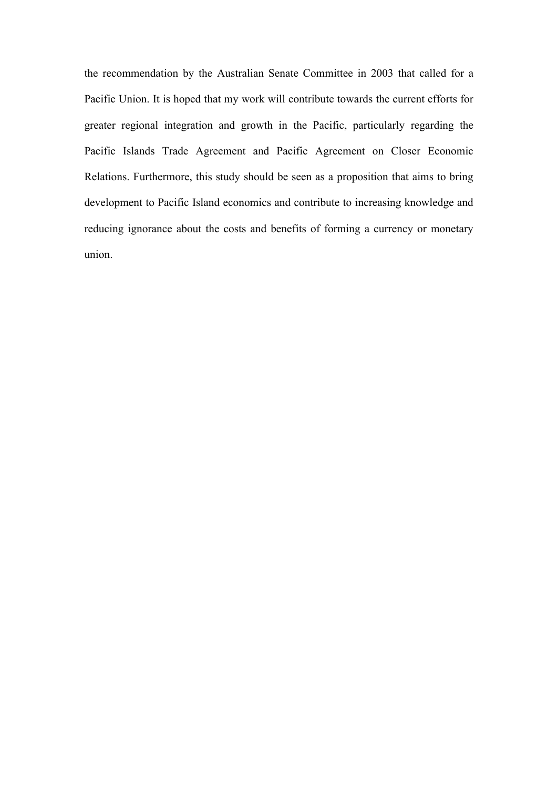the recommendation by the Australian Senate Committee in 2003 that called for a Pacific Union. It is hoped that my work will contribute towards the current efforts for greater regional integration and growth in the Pacific, particularly regarding the Pacific Islands Trade Agreement and Pacific Agreement on Closer Economic Relations. Furthermore, this study should be seen as a proposition that aims to bring development to Pacific Island economics and contribute to increasing knowledge and reducing ignorance about the costs and benefits of forming a currency or monetary union.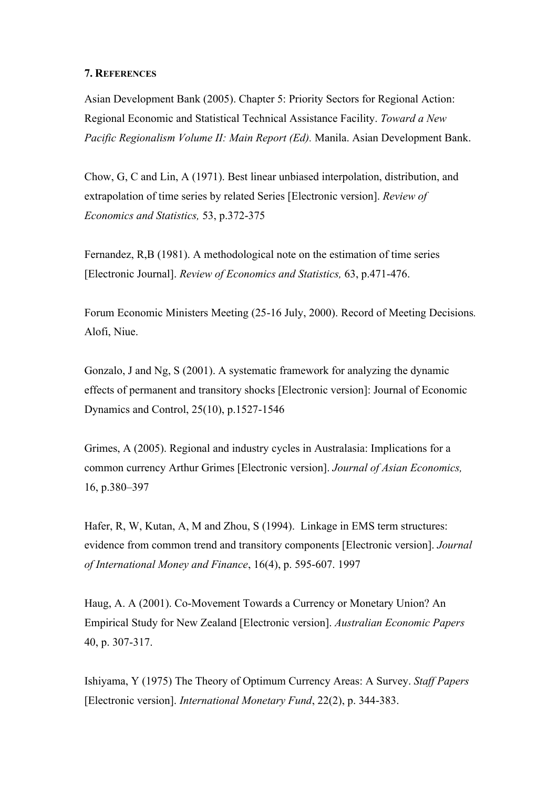## **7. REFERENCES**

Asian Development Bank (2005). Chapter 5: Priority Sectors for Regional Action: Regional Economic and Statistical Technical Assistance Facility. *Toward a New Pacific Regionalism Volume II: Main Report (Ed).* Manila. Asian Development Bank.

Chow, G, C and Lin, A (1971). Best linear unbiased interpolation, distribution, and extrapolation of time series by related Series [Electronic version]. *Review of Economics and Statistics,* 53, p.372-375

Fernandez, R,B (1981). A methodological note on the estimation of time series [Electronic Journal]. *Review of Economics and Statistics,* 63, p.471-476.

Forum Economic Ministers Meeting (25-16 July, 2000). Record of Meeting Decisions*.* Alofi, Niue.

Gonzalo, J and Ng, S (2001). A systematic framework for analyzing the dynamic effects of permanent and transitory shocks [Electronic version]: Journal of Economic Dynamics and Control, 25(10), p.1527-1546

Grimes, A (2005). Regional and industry cycles in Australasia: Implications for a common currency Arthur Grimes [Electronic version]. *Journal of Asian Economics,* 16, p.380–397

Hafer, R, W, Kutan, A, M and Zhou, S (1994). Linkage in EMS term structures: evidence from common trend and transitory components [Electronic version]. *Journal of International Money and Finance*, 16(4), p. 595-607. 1997

Haug, A. A (2001). Co-Movement Towards a Currency or Monetary Union? An Empirical Study for New Zealand [Electronic version]. *Australian Economic Papers* 40, p. 307-317.

Ishiyama, Y (1975) The Theory of Optimum Currency Areas: A Survey. *Staff Papers*  [Electronic version]. *International Monetary Fund*, 22(2), p. 344-383.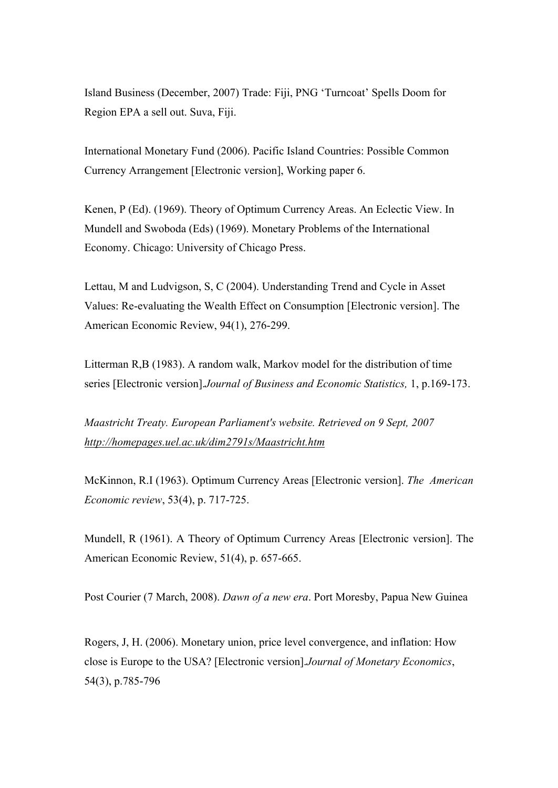Island Business (December, 2007) Trade: Fiji, PNG 'Turncoat' Spells Doom for Region EPA a sell out. Suva, Fiji.

International Monetary Fund (2006). Pacific Island Countries: Possible Common Currency Arrangement [Electronic version], Working paper 6.

Kenen, P (Ed). (1969). Theory of Optimum Currency Areas. An Eclectic View. In Mundell and Swoboda (Eds) (1969). Monetary Problems of the International Economy. Chicago: University of Chicago Press.

Lettau, M and Ludvigson, S, C (2004). Understanding Trend and Cycle in Asset Values: Re-evaluating the Wealth Effect on Consumption [Electronic version]. The American Economic Review, 94(1), 276-299.

Litterman R,B (1983). A random walk, Markov model for the distribution of time series [Electronic version].*Journal of Business and Economic Statistics,* 1, p.169-173.

*Maastricht Treaty. European Parliament's website. Retrieved on 9 Sept, 2007 http://homepages.uel.ac.uk/dim2791s/Maastricht.htm*

McKinnon, R.I (1963). Optimum Currency Areas [Electronic version]. *The American Economic review*, 53(4), p. 717-725.

Mundell, R (1961). A Theory of Optimum Currency Areas [Electronic version]. The American Economic Review, 51(4), p. 657-665.

Post Courier (7 March, 2008). *Dawn of a new era*. Port Moresby, Papua New Guinea

Rogers, J, H. (2006). Monetary union, price level convergence, and inflation: How close is Europe to the USA? [Electronic version].*Journal of Monetary Economics*, 54(3), p.785-796